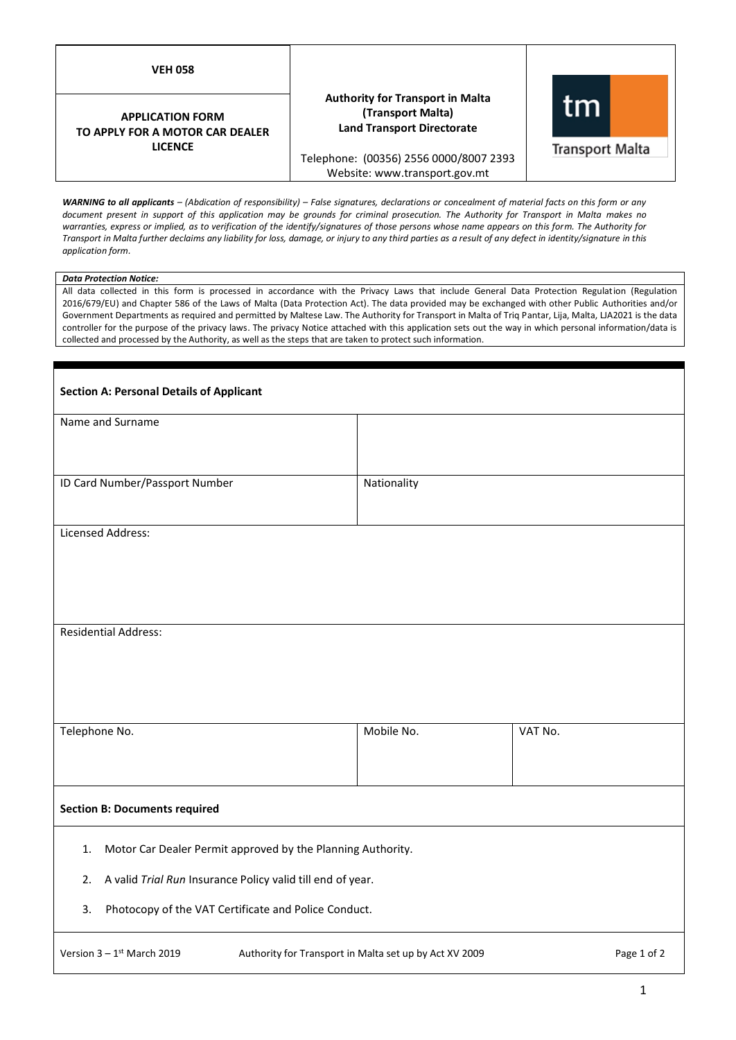| V<br>н<br>с<br>г.<br>ı |  |
|------------------------|--|
|                        |  |

## **APPLICATION FORM TO APPLY FOR A MOTOR CAR DEALER LICENCE**

# **Authority for Transport in Malta (Transport Malta) Land Transport Directorate**



Telephone: (00356) 2556 0000/8007 2393 Website: www.transport.gov.mt

*WARNING to all applicants – (Abdication of responsibility) – False signatures, declarations or concealment of material facts on this form or any document present in support of this application may be grounds for criminal prosecution. The Authority for Transport in Malta makes no warranties, express or implied, as to verification of the identify/signatures of those persons whose name appears on this form. The Authority for Transport in Malta further declaims any liability for loss, damage, or injury to any third parties as a result of any defect in identity/signature in this application form.*

## *Data Protection Notice:*

All data collected in this form is processed in accordance with the Privacy Laws that include General Data Protection Regulation (Regulation 2016/679/EU) and Chapter 586 of the Laws of Malta (Data Protection Act). The data provided may be exchanged with other Public Authorities and/or Government Departments as required and permitted by Maltese Law. The Authority for Transport in Malta of Triq Pantar, Lija, Malta, LJA2021 is the data controller for the purpose of the privacy laws. The privacy Notice attached with this application sets out the way in which personal information/data is collected and processed by the Authority, as well as the steps that are taken to protect such information.

| <b>Section A: Personal Details of Applicant</b>                                                                   |             |         |
|-------------------------------------------------------------------------------------------------------------------|-------------|---------|
| Name and Surname                                                                                                  |             |         |
|                                                                                                                   |             |         |
| ID Card Number/Passport Number                                                                                    | Nationality |         |
|                                                                                                                   |             |         |
| Licensed Address:                                                                                                 |             |         |
|                                                                                                                   |             |         |
|                                                                                                                   |             |         |
|                                                                                                                   |             |         |
| <b>Residential Address:</b>                                                                                       |             |         |
|                                                                                                                   |             |         |
|                                                                                                                   |             |         |
|                                                                                                                   |             |         |
| Telephone No.                                                                                                     | Mobile No.  | VAT No. |
|                                                                                                                   |             |         |
|                                                                                                                   |             |         |
| <b>Section B: Documents required</b>                                                                              |             |         |
| Motor Car Dealer Permit approved by the Planning Authority.<br>1.                                                 |             |         |
| A valid Trial Run Insurance Policy valid till end of year.<br>2.                                                  |             |         |
| Photocopy of the VAT Certificate and Police Conduct.<br>3.                                                        |             |         |
| Version $3 - 1$ <sup>st</sup> March 2019<br>Authority for Transport in Malta set up by Act XV 2009<br>Page 1 of 2 |             |         |